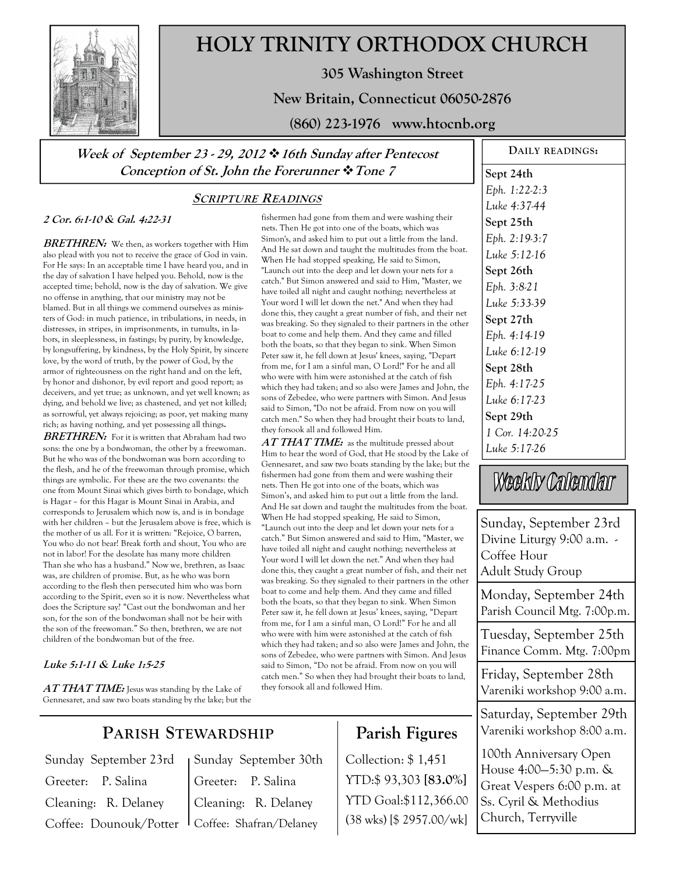

# **HOLY TRINITY ORTHODOX CHURCH**

**305 Washington Street** 

**New Britain, Connecticut 06050-2876** 

**(860) 223-1976 www.htocnb.org** 

**Week of September 23 - 29, 2012 16th Sunday after Pentecost Conception of St. John the Forerunner Tone 7** 

## **SCRIPTURE READINGS**

#### **2 Cor. 6:1-10 & Gal. 4:22-31**

**BRETHREN:** We then, as workers together with Him also plead with you not to receive the grace of God in vain. For He says: In an acceptable time I have heard you, and in the day of salvation I have helped you. Behold, now is the accepted time; behold, now is the day of salvation. We give no offense in anything, that our ministry may not be blamed. But in all things we commend ourselves as ministers of God: in much patience, in tribulations, in needs, in distresses, in stripes, in imprisonments, in tumults, in labors, in sleeplessness, in fastings; by purity, by knowledge, by longsuffering, by kindness, by the Holy Spirit, by sincere love, by the word of truth, by the power of God, by the armor of righteousness on the right hand and on the left, by honor and dishonor, by evil report and good report; as deceivers, and yet true; as unknown, and yet well known; as dying, and behold we live; as chastened, and yet not killed; as sorrowful, yet always rejoicing; as poor, yet making many rich; as having nothing, and yet possessing all things**.** 

BRETHREN: For it is written that Abraham had two sons: the one by a bondwoman, the other by a freewoman. But he who was of the bondwoman was born according to the flesh, and he of the freewoman through promise, which things are symbolic. For these are the two covenants: the one from Mount Sinai which gives birth to bondage, which is Hagar – for this Hagar is Mount Sinai in Arabia, and corresponds to Jerusalem which now is, and is in bondage with her children – but the Jerusalem above is free, which is the mother of us all. For it is written: "Rejoice, O barren, You who do not bear! Break forth and shout, You who are not in labor! For the desolate has many more children Than she who has a husband." Now we, brethren, as Isaac was, are children of promise. But, as he who was born according to the flesh then persecuted him who was born according to the Spirit, even so it is now. Nevertheless what does the Scripture say? "Cast out the bondwoman and her son, for the son of the bondwoman shall not be heir with the son of the freewoman." So then, brethren, we are not children of the bondwoman but of the free.

#### **Luke 5:1-11 & Luke 1:5-25**

AT THAT TIME: Jesus was standing by the Lake of Gennesaret, and saw two boats standing by the lake; but the fishermen had gone from them and were washing their nets. Then He got into one of the boats, which was Simon's, and asked him to put out a little from the land. And He sat down and taught the multitudes from the boat. When He had stopped speaking, He said to Simon, "Launch out into the deep and let down your nets for a catch." But Simon answered and said to Him, "Master, we have toiled all night and caught nothing; nevertheless at Your word I will let down the net." And when they had done this, they caught a great number of fish, and their net was breaking. So they signaled to their partners in the other boat to come and help them. And they came and filled both the boats, so that they began to sink. When Simon Peter saw it, he fell down at Jesus' knees, saying, "Depart from me, for I am a sinful man, O Lord!" For he and all who were with him were astonished at the catch of fish which they had taken; and so also were James and John, the sons of Zebedee, who were partners with Simon. And Jesus said to Simon, "Do not be afraid. From now on you will catch men." So when they had brought their boats to land, they forsook all and followed Him.

AT THAT TIME: as the multitude pressed about Him to hear the word of God, that He stood by the Lake of Gennesaret, and saw two boats standing by the lake; but the fishermen had gone from them and were washing their nets. Then He got into one of the boats, which was Simon's, and asked him to put out a little from the land. And He sat down and taught the multitudes from the boat. When He had stopped speaking, He said to Simon, "Launch out into the deep and let down your nets for a catch." But Simon answered and said to Him, "Master, we have toiled all night and caught nothing; nevertheless at Your word I will let down the net." And when they had done this, they caught a great number of fish, and their net was breaking. So they signaled to their partners in the other boat to come and help them. And they came and filled both the boats, so that they began to sink. When Simon Peter saw it, he fell down at Jesus' knees, saying, "Depart from me, for I am a sinful man, O Lord!" For he and all who were with him were astonished at the catch of fish which they had taken; and so also were James and John, the sons of Zebedee, who were partners with Simon. And Jesus said to Simon, "Do not be afraid. From now on you will catch men." So when they had brought their boats to land, they forsook all and followed Him.

**Parish Figures** 

YTD:\$ 93,303 **[83.0%]** YTD Goal:\$112,366.00 (38 wks) [\$ 2957.00/wk]

Collection: \$ 1,451

# *Eph. 1:22-2:3 Luke 4:37-44*  **Sept 25th**  *Eph. 2:19-3:7 Luke 5:12-16*  **Sept 26th**  *Eph. 3:8-21 Luke 5:33-39*  **Sept 27th**  *Eph. 4:14-19 Luke 6:12-19*  **Sept 28th**  *Eph. 4:17-25 Luke 6:17-23*  **Sept 29th**  *1 Cor. 14:20-25 Luke 5:17-26*

**DAILY READINGS:** 

**Sept 24th** 

Weekly Calendar

Sunday, September 23rd Divine Liturgy 9:00 a.m. - Coffee Hour Adult Study Group

Monday, September 24th Parish Council Mtg. 7:00p.m.

Tuesday, September 25th Finance Comm. Mtg. 7:00pm

Friday, September 28th Vareniki workshop 9:00 a.m.

Saturday, September 29th Vareniki workshop 8:00 a.m.

100th Anniversary Open House 4:00—5:30 p.m. & Great Vespers 6:00 p.m. at Ss. Cyril & Methodius Church, Terryville

# **PARISH STEWARDSHIP**

Sunday September 23rd Greeter: P. Salina Cleaning: R. Delaney Coffee: Dounouk/Potter

Sunday September 30th Greeter: P. Salina Cleaning: R. Delaney Coffee: Shafran/Delaney